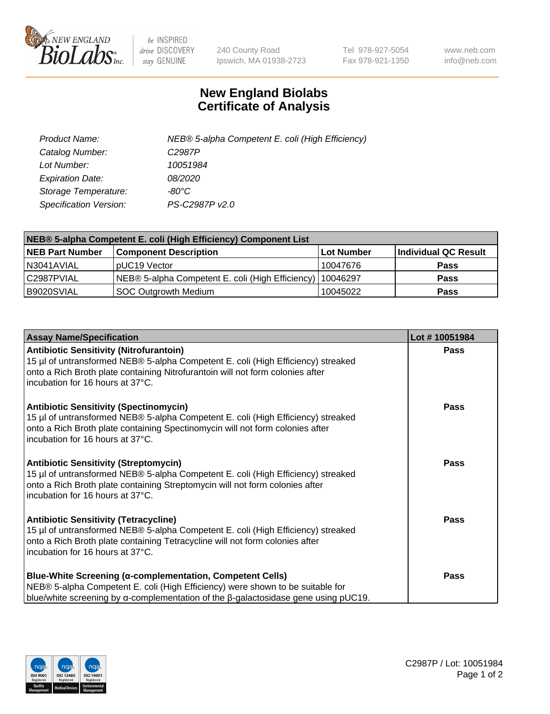

 $be$  INSPIRED drive DISCOVERY stay GENUINE

240 County Road Ipswich, MA 01938-2723 Tel 978-927-5054 Fax 978-921-1350 www.neb.com info@neb.com

## **New England Biolabs Certificate of Analysis**

| Product Name:                 | NEB® 5-alpha Competent E. coli (High Efficiency) |
|-------------------------------|--------------------------------------------------|
| Catalog Number:               | C <sub>2987</sub> P                              |
| Lot Number:                   | 10051984                                         |
| <b>Expiration Date:</b>       | <i>08/2020</i>                                   |
| Storage Temperature:          | -80°C                                            |
| <b>Specification Version:</b> | PS-C2987P v2.0                                   |

| NEB® 5-alpha Competent E. coli (High Efficiency) Component List |                                                             |            |                      |  |
|-----------------------------------------------------------------|-------------------------------------------------------------|------------|----------------------|--|
| <b>NEB Part Number</b>                                          | <b>Component Description</b>                                | Lot Number | Individual QC Result |  |
| N3041AVIAL                                                      | pUC19 Vector                                                | 10047676   | <b>Pass</b>          |  |
| C2987PVIAL                                                      | NEB® 5-alpha Competent E. coli (High Efficiency)   10046297 |            | <b>Pass</b>          |  |
| B9020SVIAL                                                      | <b>SOC Outgrowth Medium</b>                                 | 10045022   | <b>Pass</b>          |  |

| <b>Assay Name/Specification</b>                                                                                                                                                                                                                          | Lot #10051984 |
|----------------------------------------------------------------------------------------------------------------------------------------------------------------------------------------------------------------------------------------------------------|---------------|
| <b>Antibiotic Sensitivity (Nitrofurantoin)</b><br>15 µl of untransformed NEB® 5-alpha Competent E. coli (High Efficiency) streaked<br>onto a Rich Broth plate containing Nitrofurantoin will not form colonies after<br>incubation for 16 hours at 37°C. | <b>Pass</b>   |
| <b>Antibiotic Sensitivity (Spectinomycin)</b><br>15 µl of untransformed NEB® 5-alpha Competent E. coli (High Efficiency) streaked<br>onto a Rich Broth plate containing Spectinomycin will not form colonies after<br>incubation for 16 hours at 37°C.   | <b>Pass</b>   |
| <b>Antibiotic Sensitivity (Streptomycin)</b><br>15 µl of untransformed NEB® 5-alpha Competent E. coli (High Efficiency) streaked<br>onto a Rich Broth plate containing Streptomycin will not form colonies after<br>incubation for 16 hours at 37°C.     | Pass          |
| <b>Antibiotic Sensitivity (Tetracycline)</b><br>15 µl of untransformed NEB® 5-alpha Competent E. coli (High Efficiency) streaked<br>onto a Rich Broth plate containing Tetracycline will not form colonies after<br>incubation for 16 hours at 37°C.     | <b>Pass</b>   |
| <b>Blue-White Screening (α-complementation, Competent Cells)</b><br>NEB® 5-alpha Competent E. coli (High Efficiency) were shown to be suitable for<br>blue/white screening by $\alpha$ -complementation of the $\beta$ -galactosidase gene using pUC19.  | Pass          |